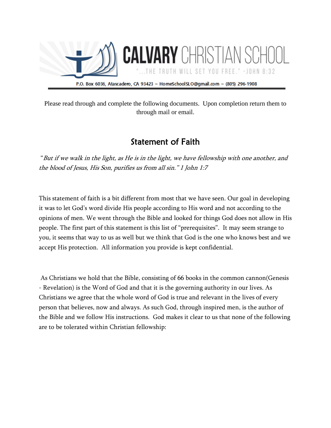

Please read through and complete the following documents. Upon completion return them to through mail or email.

### Statement of Faith

 "But if we walk in the light, as He is in the light, we have fellowship with one another, and the blood of Jesus, His Son, purifies us from all sin." 1 John 1:7

This statement of faith is a bit different from most that we have seen. Our goal in developing it was to let God's word divide His people according to His word and not according to the opinions of men. We went through the Bible and looked for things God does not allow in His people. The first part of this statement is this list of "prerequisites". It may seem strange to you, it seems that way to us as well but we think that God is the one who knows best and we accept His protection. All information you provide is kept confidential.

As Christians we hold that the Bible, consisting of 66 books in the common cannon(Genesis - Revelation) is the Word of God and that it is the governing authority in our lives. As Christians we agree that the whole word of God is true and relevant in the lives of every person that believes, now and always. As such God, through inspired men, is the author of the Bible and we follow His instructions. God makes it clear to us that none of the following are to be tolerated within Christian fellowship: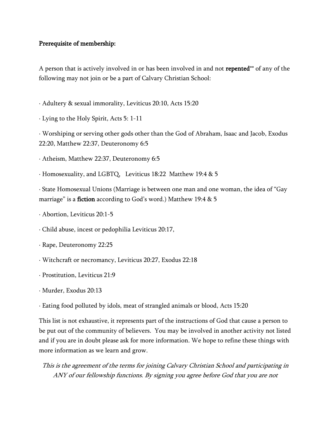#### Prerequisite of membership:

A person that is actively involved in or has been involved in and not repented\*\* of any of the following may not join or be a part of Calvary Christian School:

- · Adultery & sexual immorality, Leviticus 20:10, Acts 15:20
- · Lying to the Holy Spirit, Acts 5: 1-11

· Worshiping or serving other gods other than the God of Abraham, Isaac and Jacob, Exodus 22:20, Matthew 22:37, Deuteronomy 6:5

- · Atheism, Matthew 22:37, Deuteronomy 6:5
- · Homosexuality, and LGBTQ, Leviticus 18:22 Matthew 19:4 & 5

· State Homosexual Unions (Marriage is between one man and one woman, the idea of "Gay marriage" is a fiction according to God's word.) Matthew 19:4 & 5

- · Abortion, Leviticus 20:1-5
- · Child abuse, incest or pedophilia Leviticus 20:17,
- · Rape, Deuteronomy 22:25
- · Witchcraft or necromancy, Leviticus 20:27, Exodus 22:18
- · Prostitution, Leviticus 21:9
- · Murder, Exodus 20:13
- · Eating food polluted by idols, meat of strangled animals or blood, Acts 15:20

This list is not exhaustive, it represents part of the instructions of God that cause a person to be put out of the community of believers. You may be involved in another activity not listed and if you are in doubt please ask for more information. We hope to refine these things with more information as we learn and grow.

This is the agreement of the terms for joining Calvary Christian School and participating in ANY of our fellowship functions. By signing you agree before God that you are not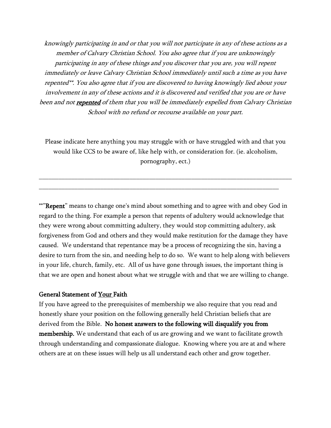knowingly participating in and or that you will not participate in any of these actions as a member of Calvary Christian School. You also agree that if you are unknowingly participating in any of these things and you discover that you are, you will repent immediately or leave Calvary Christian School immediately until such a time as you have repented\*\*. You also agree that if you are discovered to having knowingly lied about your involvement in any of these actions and it is discovered and verified that you are or have been and not **repented** of them that you will be immediately expelled from Calvary Christian School with no refund or recourse available on your part.

Please indicate here anything you may struggle with or have struggled with and that you would like CCS to be aware of, like help with, or consideration for. (ie. alcoholism, pornography, ect.)

\_\_\_\_\_\_\_\_\_\_\_\_\_\_\_\_\_\_\_\_\_\_\_\_\_\_\_\_\_\_\_\_\_\_\_\_\_\_\_\_\_\_\_\_\_\_\_\_\_\_\_\_\_\_\_\_\_\_\_\_\_\_\_\_\_\_\_\_\_\_\_\_\_\_\_\_\_\_

\_\_\_\_\_\_\_\_\_\_\_\_\_\_\_\_\_\_\_\_\_\_\_\_\_\_\_\_\_\_\_\_\_\_\_\_\_\_\_\_\_\_\_\_\_\_\_\_\_\_\_\_\_\_\_\_\_\_\_\_\_\_\_\_\_\_\_\_\_\_\_\_\_\_

\*\*"Repent" means to change one's mind about something and to agree with and obey God in regard to the thing. For example a person that repents of adultery would acknowledge that they were wrong about committing adultery, they would stop committing adultery, ask forgiveness from God and others and they would make restitution for the damage they have caused. We understand that repentance may be a process of recognizing the sin, having a desire to turn from the sin, and needing help to do so. We want to help along with believers in your life, church, family, etc. All of us have gone through issues, the important thing is that we are open and honest about what we struggle with and that we are willing to change.

#### General Statement of Your Faith

If you have agreed to the prerequisites of membership we also require that you read and honestly share your position on the following generally held Christian beliefs that are derived from the Bible. No honest answers to the following will disqualify you from membership. We understand that each of us are growing and we want to facilitate growth through understanding and compassionate dialogue. Knowing where you are at and where others are at on these issues will help us all understand each other and grow together.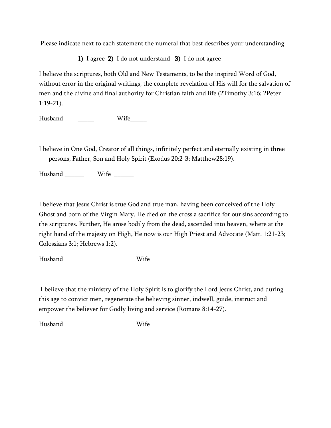Please indicate next to each statement the numeral that best describes your understanding:

1) I agree 2) I do not understand 3) I do not agree

I believe the scriptures, both Old and New Testaments, to be the inspired Word of God, without error in the original writings, the complete revelation of His will for the salvation of men and the divine and final authority for Christian faith and life (2Timothy 3:16; 2Peter 1:19-21).

Husband \_\_\_\_\_\_\_ Wife\_\_\_\_\_

I believe in One God, Creator of all things, infinitely perfect and eternally existing in three persons, Father, Son and Holy Spirit (Exodus 20:2-3; Matthew28:19).

Husband Wife  $\qquad$ 

I believe that Jesus Christ is true God and true man, having been conceived of the Holy Ghost and born of the Virgin Mary. He died on the cross a sacrifice for our sins according to the scriptures. Further, He arose bodily from the dead, ascended into heaven, where at the right hand of the majesty on High, He now is our High Priest and Advocate (Matt. 1:21-23; Colossians 3:1; Hebrews 1:2).

Husband Wife Wife  $\sim$ 

I believe that the ministry of the Holy Spirit is to glorify the Lord Jesus Christ, and during this age to convict men, regenerate the believing sinner, indwell, guide, instruct and empower the believer for Godly living and service (Romans 8:14-27).

Husband \_\_\_\_\_\_\_\_ Wife\_\_\_\_\_\_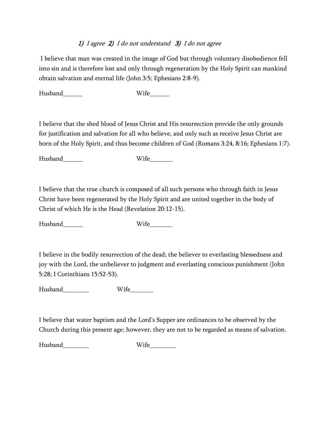#### 1) I agree 2) I do not understand 3) I do not agree

I believe that man was created in the image of God but through voluntary disobedience fell into sin and is therefore lost and only through regeneration by the Holy Spirit can mankind obtain salvation and eternal life (John 3:5; Ephesians 2:8-9).

Husband Wife

I believe that the shed blood of Jesus Christ and His resurrection provide the only grounds for justification and salvation for all who believe, and only such as receive Jesus Christ are born of the Holy Spirit, and thus become children of God (Romans 3:24, 8:16; Ephesians 1:7).

Husband\_\_\_\_\_\_ Wife\_\_\_\_\_\_\_

I believe that the true church is composed of all such persons who through faith in Jesus Christ have been regenerated by the Holy Spirit and are united together in the body of Christ of which He is the Head (Revelation 20:12-15).

Husband\_\_\_\_\_\_\_\_ Wife\_\_\_\_\_\_\_

I believe in the bodily resurrection of the dead; the believer to everlasting blessedness and joy with the Lord, the unbeliever to judgment and everlasting conscious punishment (John 5:28; I Corinthians 15:52-53).

Husband\_\_\_\_\_\_\_\_\_\_\_ Wife\_\_\_\_\_\_\_

I believe that water baptism and the Lord's Supper are ordinances to be observed by the Church during this present age; however, they are not to be regarded as means of salvation.

Husband Wife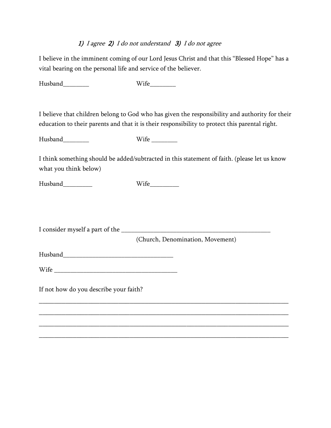#### 1) I agree 2) I do not understand 3) I do not agree

I believe in the imminent coming of our Lord Jesus Christ and that this "Blessed Hope" has a vital bearing on the personal life and service of the believer.

Husband\_\_\_\_\_\_\_\_\_\_\_ Wife\_\_\_\_\_\_\_\_\_

I believe that children belong to God who has given the responsibility and authority for their education to their parents and that it is their responsibility to protect this parental right.

Husband\_\_\_\_\_\_\_\_\_\_\_ Wife \_\_\_\_\_\_\_\_\_

I think something should be added/subtracted in this statement of faith. (please let us know what you think below)

\_\_\_\_\_\_\_\_\_\_\_\_\_\_\_\_\_\_\_\_\_\_\_\_\_\_\_\_\_\_\_\_\_\_\_\_\_\_\_\_\_\_\_\_\_\_\_\_\_\_\_\_\_\_\_\_\_\_\_\_\_\_\_\_\_\_

\_\_\_\_\_\_\_\_\_\_\_\_\_\_\_\_\_\_\_\_\_\_\_\_\_\_\_\_\_\_\_\_\_\_\_\_\_\_\_\_\_\_\_\_\_\_\_\_\_\_\_\_\_\_\_\_\_\_\_\_\_\_\_\_\_\_

\_\_\_\_\_\_\_\_\_\_\_\_\_\_\_\_\_\_\_\_\_\_\_\_\_\_\_\_\_\_\_\_\_\_\_\_\_\_\_\_\_\_\_\_\_\_\_\_\_\_\_\_\_\_\_\_\_\_\_\_\_\_\_\_\_\_

 $\_$  ,  $\_$  ,  $\_$  ,  $\_$  ,  $\_$  ,  $\_$  ,  $\_$  ,  $\_$  ,  $\_$  ,  $\_$  ,  $\_$  ,  $\_$  ,  $\_$  ,  $\_$  ,  $\_$  ,  $\_$  ,  $\_$  ,  $\_$  ,  $\_$  ,  $\_$  ,  $\_$  ,  $\_$  ,  $\_$  ,  $\_$  ,  $\_$  ,  $\_$  ,  $\_$  ,  $\_$  ,  $\_$  ,  $\_$  ,  $\_$  ,  $\_$  ,  $\_$  ,  $\_$  ,  $\_$  ,  $\_$  ,  $\_$  ,

Husband\_\_\_\_\_\_\_\_\_ Wife\_\_\_\_\_\_\_\_\_

I consider myself a part of the \_\_\_\_\_\_\_\_\_\_\_\_\_\_\_\_\_\_\_\_\_\_\_\_\_\_\_\_\_\_\_\_\_\_\_\_\_\_\_\_\_\_\_\_\_\_

(Church, Denomination, Movement)

Husband

 $Wife$   $\overline{\phantom{a}}$ 

If not how do you describe your faith?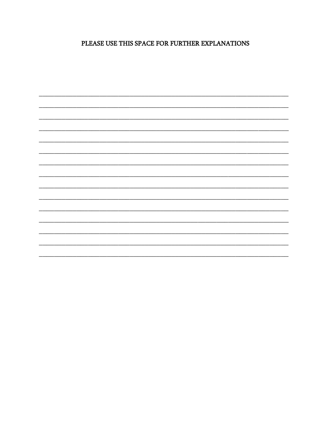PLEASE USE THIS SPACE FOR FURTHER EXPLANATIONS

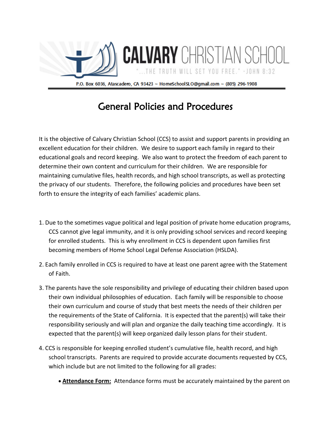

## General Policies and Procedures

It is the objective of Calvary Christian School (CCS) to assist and support parents in providing an excellent education for their children. We desire to support each family in regard to their educational goals and record keeping. We also want to protect the freedom of each parent to determine their own content and curriculum for their children. We are responsible for maintaining cumulative files, health records, and high school transcripts, as well as protecting the privacy of our students. Therefore, the following policies and procedures have been set forth to ensure the integrity of each families' academic plans.

- 1. Due to the sometimes vague political and legal position of private home education programs, CCS cannot give legal immunity, and it is only providing school services and record keeping for enrolled students. This is why enrollment in CCS is dependent upon families first becoming members of Home School Legal Defense Association (HSLDA).
- 2. Each family enrolled in CCS is required to have at least one parent agree with the Statement of Faith.
- 3. The parents have the sole responsibility and privilege of educating their children based upon their own individual philosophies of education. Each family will be responsible to choose their own curriculum and course of study that best meets the needs of their children per the requirements of the State of California. It is expected that the parent(s) will take their responsibility seriously and will plan and organize the daily teaching time accordingly. It is expected that the parent(s) will keep organized daily lesson plans for their student.
- 4. CCS is responsible for keeping enrolled student's cumulative file, health record, and high school transcripts. Parents are required to provide accurate documents requested by CCS, which include but are not limited to the following for all grades:
	- **Attendance Form:** Attendance forms must be accurately maintained by the parent on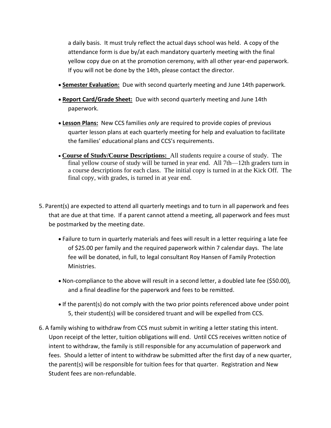a daily basis. It must truly reflect the actual days school was held. A copy of the attendance form is due by/at each mandatory quarterly meeting with the final yellow copy due on at the promotion ceremony, with all other year-end paperwork. If you will not be done by the 14th, please contact the director.

- **Semester Evaluation:** Due with second quarterly meeting and June 14th paperwork.
- **Report Card/Grade Sheet:** Due with second quarterly meeting and June 14th paperwork.
- **Lesson Plans:** New CCS families *only* are required to provide copies of previous quarter lesson plans at each quarterly meeting for help and evaluation to facilitate the families' educational plans and CCS's requirements.
- **Course of Study/Course Descriptions:** All students require a course of study. The final yellow course of study will be turned in year end. All 7th—12th graders turn in a course descriptions for each class. The initial copy is turned in at the Kick Off. The final copy, with grades, is turned in at year end.
- 5. Parent(s) are expected to attend all quarterly meetings and to turn in all paperwork and fees that are due at that time. If a parent cannot attend a meeting, all paperwork and fees must be postmarked by the meeting date.
	- Failure to turn in quarterly materials and fees will result in a letter requiring a late fee of \$25.00 per family and the required paperwork within 7 calendar days. The late fee will be donated, in full, to legal consultant Roy Hansen of Family Protection Ministries.
	- Non-compliance to the above will result in a second letter, a doubled late fee (\$50.00), and a final deadline for the paperwork and fees to be remitted.
	- If the parent(s) do not comply with the two prior points referenced above under point 5, their student(s) will be considered truant and will be expelled from CCS.
- 6. A family wishing to withdraw from CCS must submit in writing a letter stating this intent. Upon receipt of the letter, tuition obligations will end. Until CCS receives written notice of intent to withdraw, the family is still responsible for any accumulation of paperwork and fees. Should a letter of intent to withdraw be submitted after the first day of a new quarter, the parent(s) will be responsible for tuition fees for that quarter. Registration and New Student fees are non-refundable.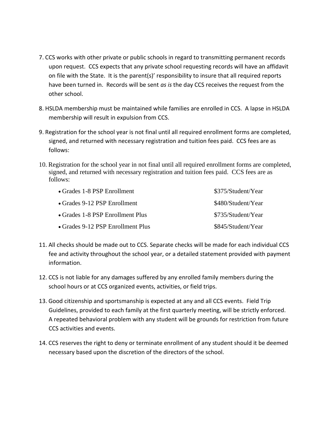- 7. CCS works with other private or public schools in regard to transmitting permanent records upon request. CCS expects that any private school requesting records will have an affidavit on file with the State. It is the parent(s)' responsibility to insure that all required reports have been turned in. Records will be sent *as is* the day CCS receives the request from the other school.
- 8. HSLDA membership must be maintained while families are enrolled in CCS. A lapse in HSLDA membership will result in expulsion from CCS.
- 9. Registration for the school year is not final until all required enrollment forms are completed, signed, and returned with necessary registration and tuition fees paid. CCS fees are as follows:
- 10. Registration for the school year in not final until all required enrollment forms are completed, signed, and returned with necessary registration and tuition fees paid. CCS fees are as follows:

| • Grades 1-8 PSP Enrollment       | \$375/Student/Year |
|-----------------------------------|--------------------|
| • Grades 9-12 PSP Enrollment      | \$480/Student/Year |
| • Grades 1-8 PSP Enrollment Plus  | \$735/Student/Year |
| • Grades 9-12 PSP Enrollment Plus | \$845/Student/Year |

- 11. All checks should be made out to CCS. Separate checks will be made for each individual CCS fee and activity throughout the school year, or a detailed statement provided with payment information.
- 12. CCS is not liable for any damages suffered by any enrolled family members during the school hours or at CCS organized events, activities, or field trips.
- 13. Good citizenship and sportsmanship is expected at any and all CCS events. Field Trip Guidelines, provided to each family at the first quarterly meeting, will be strictly enforced. A repeated behavioral problem with any student will be grounds for restriction from future CCS activities and events.
- 14. CCS reserves the right to deny or terminate enrollment of any student should it be deemed necessary based upon the discretion of the directors of the school.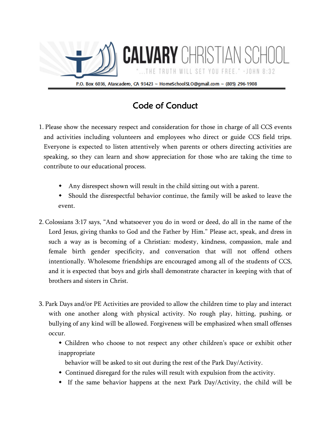

## Code of Conduct

- 1. Please show the necessary respect and consideration for those in charge of all CCS events and activities including volunteers and employees who direct or guide CCS field trips. Everyone is expected to listen attentively when parents or others directing activities are speaking, so they can learn and show appreciation for those who are taking the time to contribute to our educational process.
	- Any disrespect shown will result in the child sitting out with a parent.
	- Should the disrespectful behavior continue, the family will be asked to leave the event.
- 2. Colossians 3:17 says, "And whatsoever you do in word or deed, do all in the name of the Lord Jesus, giving thanks to God and the Father by Him." Please act, speak, and dress in such a way as is becoming of a Christian: modesty, kindness, compassion, male and female birth gender specificity, and conversation that will not offend others intentionally. Wholesome friendships are encouraged among all of the students of CCS, and it is expected that boys and girls shall demonstrate character in keeping with that of brothers and sisters in Christ.
- 3. Park Days and/or PE Activities are provided to allow the children time to play and interact with one another along with physical activity. No rough play, hitting, pushing, or bullying of any kind will be allowed. Forgiveness will be emphasized when small offenses occur.
	- Children who choose to not respect any other children's space or exhibit other inappropriate
		- behavior will be asked to sit out during the rest of the Park Day/Activity.
	- Continued disregard for the rules will result with expulsion from the activity.
	- If the same behavior happens at the next Park Day/Activity, the child will be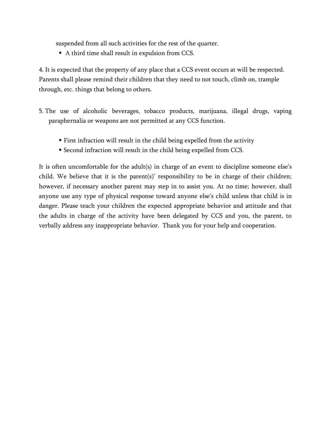suspended from all such activities for the rest of the quarter.

A third time shall result in expulsion from CCS.

4. It is expected that the property of any place that a CCS event occurs at will be respected. Parents shall please remind their children that they need to not touch, climb on, trample through, etc. things that belong to others.

- 5. The use of alcoholic beverages, tobacco products, marijuana, illegal drugs, vaping paraphernalia or weapons are not permitted at any CCS function.
	- First infraction will result in the child being expelled from the activity
	- Second infraction will result in the child being expelled from CCS.

It is often uncomfortable for the adult(s) in charge of an event to discipline someone else's child. We believe that it is the parent(s)' responsibility to be in charge of their children; however, if necessary another parent may step in to assist you. At no time; however, shall anyone use any type of physical response toward anyone else's child unless that child is in danger. Please teach your children the expected appropriate behavior and attitude and that the adults in charge of the activity have been delegated by CCS and you, the parent, to verbally address any inappropriate behavior. Thank you for your help and cooperation.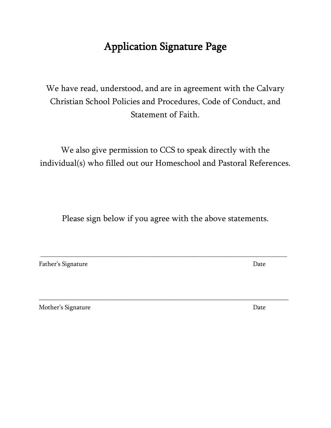# Application Signature Page

We have read, understood, and are in agreement with the Calvary Christian School Policies and Procedures, Code of Conduct, and Statement of Faith.

We also give permission to CCS to speak directly with the individual(s) who filled out our Homeschool and Pastoral References.

Please sign below if you agree with the above statements.

\_\_\_\_\_\_\_\_\_\_\_\_\_\_\_\_\_\_\_\_\_\_\_\_\_\_\_\_\_\_\_\_\_\_\_\_\_\_\_\_\_\_\_\_\_\_\_\_\_\_\_\_\_\_\_\_\_\_\_\_\_\_\_\_\_\_\_\_\_\_\_\_\_\_\_\_

 $\_$  ,  $\_$  ,  $\_$  ,  $\_$  ,  $\_$  ,  $\_$  ,  $\_$  ,  $\_$  ,  $\_$  ,  $\_$  ,  $\_$  ,  $\_$  ,  $\_$  ,  $\_$  ,  $\_$  ,  $\_$  ,  $\_$  ,  $\_$  ,  $\_$  ,  $\_$  ,  $\_$  ,  $\_$  ,  $\_$  ,  $\_$  ,  $\_$  ,  $\_$  ,  $\_$  ,  $\_$  ,  $\_$  ,  $\_$  ,  $\_$  ,  $\_$  ,  $\_$  ,  $\_$  ,  $\_$  ,  $\_$  ,  $\_$  ,

Father's Signature Date

Mother's Signature Date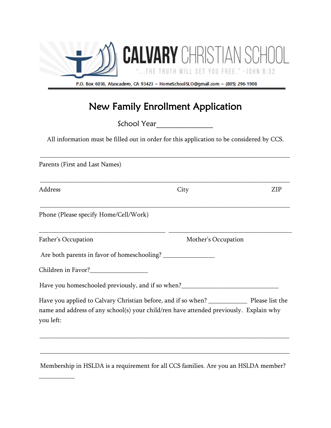

## New Family Enrollment Application

School Year\_\_\_\_\_\_\_\_\_\_\_\_\_\_\_

All information must be filled out in order for this application to be considered by CCS.

| <b>ZIP</b>                                                                                                                                                                               |
|------------------------------------------------------------------------------------------------------------------------------------------------------------------------------------------|
|                                                                                                                                                                                          |
|                                                                                                                                                                                          |
| Mother's Occupation                                                                                                                                                                      |
|                                                                                                                                                                                          |
|                                                                                                                                                                                          |
| Have you homeschooled previously, and if so when?_______________________________                                                                                                         |
| Have you applied to Calvary Christian before, and if so when? ________________ Please list the<br>name and address of any school(s) your child/ren have attended previously. Explain why |
|                                                                                                                                                                                          |

Membership in HSLDA is a requirement for all CCS families. Are you an HSLDA member?

\_\_\_\_\_\_\_\_\_\_\_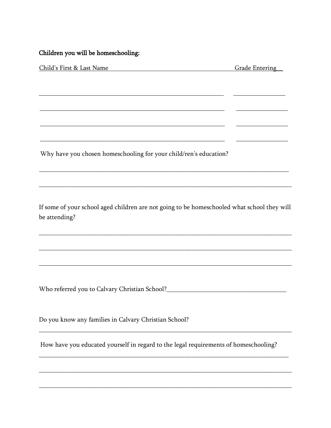#### Children you will be homeschooling:

| Child's First & Last Name                                         | <b>Grade Entering</b> |
|-------------------------------------------------------------------|-----------------------|
|                                                                   |                       |
|                                                                   |                       |
|                                                                   |                       |
|                                                                   |                       |
|                                                                   |                       |
|                                                                   |                       |
|                                                                   |                       |
|                                                                   |                       |
|                                                                   |                       |
| Why have you chosen homeschooling for your child/ren's education? |                       |
|                                                                   |                       |
|                                                                   |                       |
|                                                                   |                       |
|                                                                   |                       |
|                                                                   |                       |

If some of your school aged children are not going to be homeschooled what school they will be attending?

Do you know any families in Calvary Christian School?

How have you educated yourself in regard to the legal requirements of homeschooling?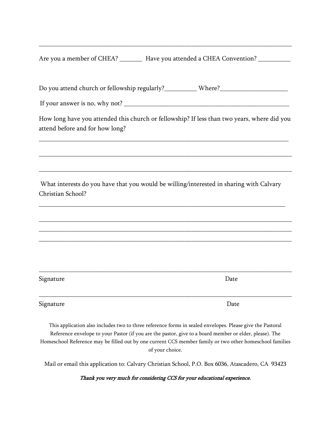| Are you a member of CHEA? | Have you attended a CHEA Convention? |  |
|---------------------------|--------------------------------------|--|
|                           |                                      |  |

Do you attend church or fellowship regularly?\_\_\_\_\_\_\_\_\_\_\_ Where?\_\_\_\_\_\_\_\_\_\_\_\_\_\_\_\_\_\_

\_\_\_\_\_\_\_\_\_\_\_\_\_\_\_\_\_\_\_\_\_\_\_\_\_\_\_\_\_\_\_\_\_\_\_\_\_\_\_\_\_\_\_\_\_\_\_\_\_\_\_\_\_\_\_\_\_\_\_\_\_\_\_\_\_\_\_\_\_\_\_\_\_\_\_\_\_\_

If your answer is no, why not?

How long have you attended this church or fellowship? If less than two years, where did you attend before and for how long?

\_\_\_\_\_\_\_\_\_\_\_\_\_\_\_\_\_\_\_\_\_\_\_\_\_\_\_\_\_\_\_\_\_\_\_\_\_\_\_\_\_\_\_\_\_\_\_\_\_\_\_\_\_\_\_\_\_\_\_\_\_\_\_\_\_\_\_\_\_\_\_\_\_\_\_\_\_

\_\_\_\_\_\_\_\_\_\_\_\_\_\_\_\_\_\_\_\_\_\_\_\_\_\_\_\_\_\_\_\_\_\_\_\_\_\_\_\_\_\_\_\_\_\_\_\_\_\_\_\_\_\_\_\_\_\_\_\_\_\_\_\_\_\_\_\_\_\_\_\_\_\_\_\_\_\_

\_\_\_\_\_\_\_\_\_\_\_\_\_\_\_\_\_\_\_\_\_\_\_\_\_\_\_\_\_\_\_\_\_\_\_\_\_\_\_\_\_\_\_\_\_\_\_\_\_\_\_\_\_\_\_\_\_\_\_\_\_\_\_\_\_\_\_\_\_\_\_\_\_\_\_\_\_\_

What interests do you have that you would be willing/interested in sharing with Calvary Christian School?

\_\_\_\_\_\_\_\_\_\_\_\_\_\_\_\_\_\_\_\_\_\_\_\_\_\_\_\_\_\_\_\_\_\_\_\_\_\_\_\_\_\_\_\_\_\_\_\_\_\_\_\_\_\_\_\_\_\_\_\_\_\_\_\_\_\_\_\_\_\_\_\_\_\_\_\_

\_\_\_\_\_\_\_\_\_\_\_\_\_\_\_\_\_\_\_\_\_\_\_\_\_\_\_\_\_\_\_\_\_\_\_\_\_\_\_\_\_\_\_\_\_\_\_\_\_\_\_\_\_\_\_\_\_\_\_\_\_\_\_\_\_\_\_\_\_\_\_\_\_\_\_\_\_\_ \_\_\_\_\_\_\_\_\_\_\_\_\_\_\_\_\_\_\_\_\_\_\_\_\_\_\_\_\_\_\_\_\_\_\_\_\_\_\_\_\_\_\_\_\_\_\_\_\_\_\_\_\_\_\_\_\_\_\_\_\_\_\_\_\_\_\_\_\_\_\_\_\_\_\_\_\_\_ \_\_\_\_\_\_\_\_\_\_\_\_\_\_\_\_\_\_\_\_\_\_\_\_\_\_\_\_\_\_\_\_\_\_\_\_\_\_\_\_\_\_\_\_\_\_\_\_\_\_\_\_\_\_\_\_\_\_\_\_\_\_\_\_\_\_\_\_\_\_\_\_\_\_\_\_\_\_

| Signature | Date |
|-----------|------|
|           |      |
|           |      |

Signature Date

This application also includes two to three reference forms in sealed envelopes. Please give the Pastoral Reference envelope to your Pastor (if you are the pastor, give to a board member or elder, please). The Homeschool Reference may be filled out by one current CCS member family or two other homeschool families of your choice.

Mail or email this application to: Calvary Christian School, P.O. Box 6036, Atascadero, CA 93423

Thank you very much for considering CCS for your educational experience.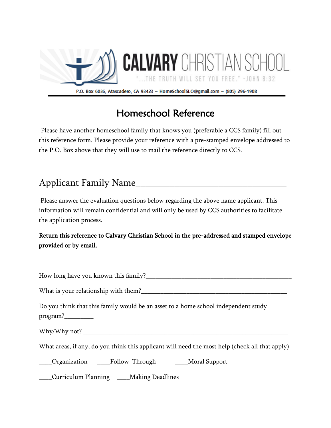

# Homeschool Reference

 Please have another homeschool family that knows you (preferable a CCS family) fill out this reference form. Please provide your reference with a pre-stamped envelope addressed to the P.O. Box above that they will use to mail the reference directly to CCS.

## Applicant Family Name\_\_\_\_\_\_\_\_\_\_\_\_\_\_\_\_\_\_\_\_\_\_\_\_\_\_\_\_\_\_\_

Please answer the evaluation questions below regarding the above name applicant. This information will remain confidential and will only be used by CCS authorities to facilitate the application process.

### Return this reference to Calvary Christian School in the pre-addressed and stamped envelope provided or by email.

How long have you known this family? What is your relationship with them?\_\_\_\_\_\_\_\_\_\_\_\_\_\_\_\_\_\_\_\_\_\_\_\_\_\_\_\_\_\_\_\_\_\_\_\_\_\_\_\_\_\_\_\_\_ Do you think that this family would be an asset to a home school independent study program?\_\_\_\_\_\_\_\_\_ Why/Why not? What areas, if any, do you think this applicant will need the most help (check all that apply) \_\_\_\_Organization \_\_\_\_Follow Through \_\_\_\_Moral Support \_\_\_\_Curriculum Planning \_\_\_\_Making Deadlines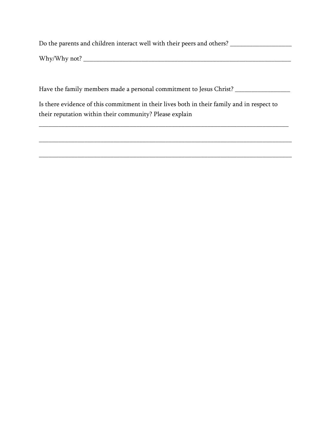Do the parents and children interact well with their peers and others? \_\_\_\_\_\_\_\_\_\_\_\_\_\_\_\_

Why/Why not? \_\_\_\_\_\_\_\_\_\_\_\_\_\_\_\_\_\_\_\_\_\_\_\_\_\_\_\_\_\_\_\_\_\_\_\_\_\_\_\_\_\_\_\_\_\_\_\_\_\_\_\_\_\_\_\_\_\_\_\_\_\_\_\_

Have the family members made a personal commitment to Jesus Christ? \_\_\_\_\_\_\_\_\_\_\_\_\_

\_\_\_\_\_\_\_\_\_\_\_\_\_\_\_\_\_\_\_\_\_\_\_\_\_\_\_\_\_\_\_\_\_\_\_\_\_\_\_\_\_\_\_\_\_\_\_\_\_\_\_\_\_\_\_\_\_\_\_\_\_\_\_\_\_\_\_\_\_\_\_\_\_\_\_\_\_

\_\_\_\_\_\_\_\_\_\_\_\_\_\_\_\_\_\_\_\_\_\_\_\_\_\_\_\_\_\_\_\_\_\_\_\_\_\_\_\_\_\_\_\_\_\_\_\_\_\_\_\_\_\_\_\_\_\_\_\_\_\_\_\_\_\_\_\_\_\_\_\_\_\_\_\_\_\_

\_\_\_\_\_\_\_\_\_\_\_\_\_\_\_\_\_\_\_\_\_\_\_\_\_\_\_\_\_\_\_\_\_\_\_\_\_\_\_\_\_\_\_\_\_\_\_\_\_\_\_\_\_\_\_\_\_\_\_\_\_\_\_\_\_\_\_\_\_\_\_\_\_\_\_\_\_\_

Is there evidence of this commitment in their lives both in their family and in respect to their reputation within their community? Please explain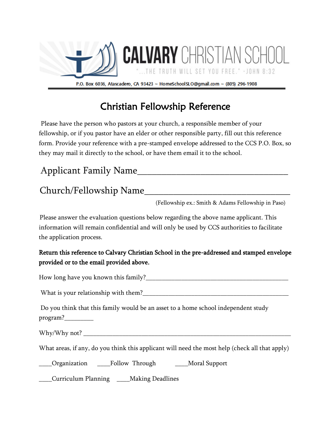

# Christian Fellowship Reference

 Please have the person who pastors at your church, a responsible member of your fellowship, or if you pastor have an elder or other responsible party, fill out this reference form. Provide your reference with a pre-stamped envelope addressed to the CCS P.O. Box, so they may mail it directly to the school, or have them email it to the school.

## Applicant Family Name\_\_\_\_\_\_\_\_\_\_\_\_\_\_\_\_\_\_\_\_\_\_\_\_\_\_\_\_\_\_\_

## Church/Fellowship Name\_\_\_\_\_\_\_\_\_\_\_\_\_\_\_\_\_\_\_\_\_\_\_\_\_\_\_\_\_\_

(Fellowship ex.: Smith & Adams Fellowship in Paso)

Please answer the evaluation questions below regarding the above name applicant. This information will remain confidential and will only be used by CCS authorities to facilitate the application process.

### Return this reference to Calvary Christian School in the pre-addressed and stamped envelope provided or to the email provided above.

How long have you known this family?\_\_\_\_\_\_\_\_\_\_\_\_\_\_\_\_\_\_\_\_\_\_\_\_\_\_\_\_\_\_\_\_\_\_\_\_\_\_\_\_\_\_\_\_

What is your relationship with them?\_\_\_\_\_\_\_\_\_\_\_\_\_\_\_\_\_\_\_\_\_\_\_\_\_\_\_\_\_\_\_\_\_\_\_\_\_\_\_\_\_\_\_\_\_

Do you think that this family would be an asset to a home school independent study program?

Why/Why not? \_\_\_\_\_\_\_\_\_\_\_\_\_\_\_\_\_\_\_\_\_\_\_\_\_\_\_\_\_\_\_\_\_\_\_\_\_\_\_\_\_\_\_\_\_\_\_\_\_\_\_\_\_\_\_\_\_\_\_\_\_\_\_\_

What areas, if any, do you think this applicant will need the most help (check all that apply)

\_\_\_\_Organization \_\_\_\_Follow Through \_\_\_\_Moral Support

\_\_\_\_Curriculum Planning \_\_\_\_Making Deadlines